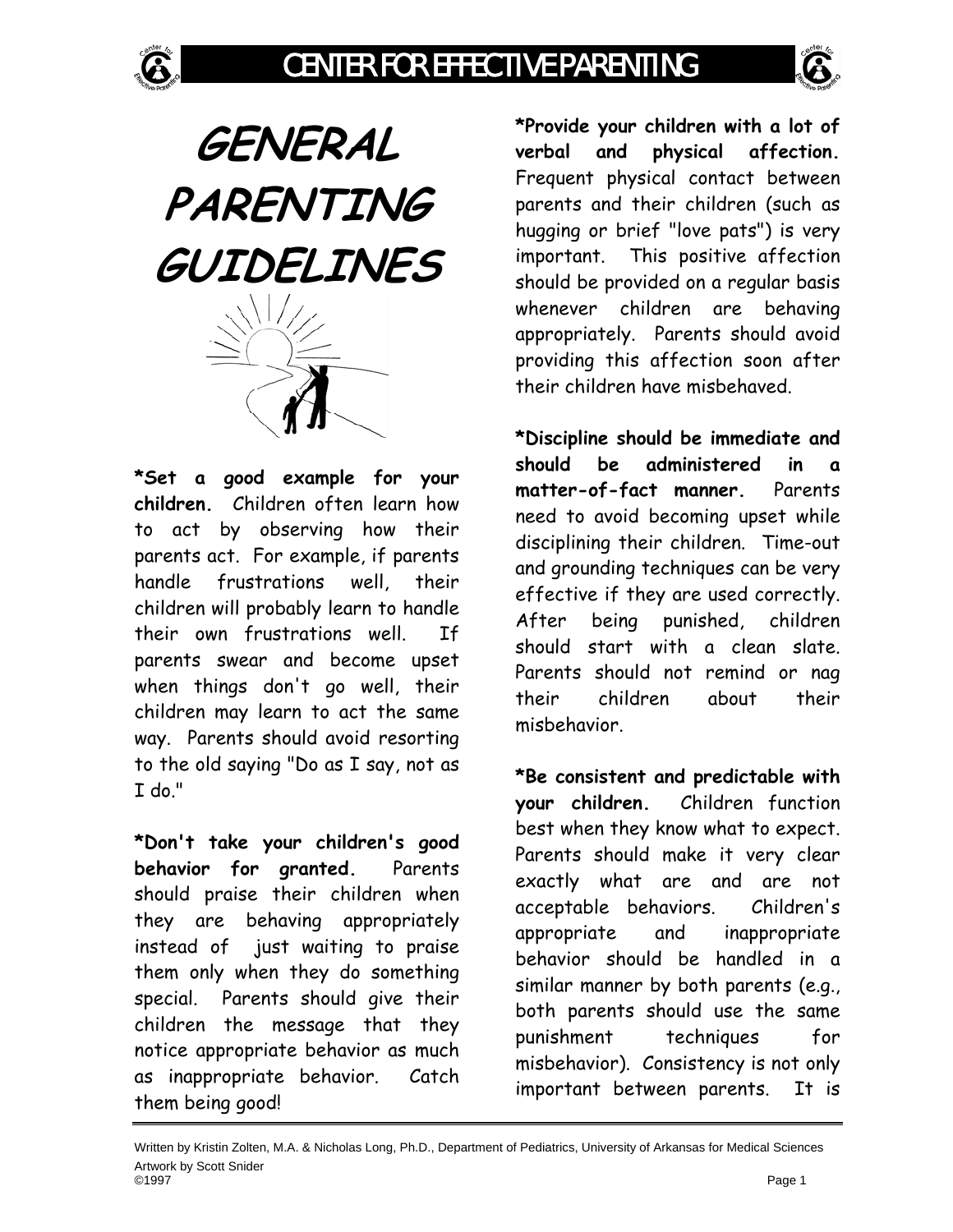

**GENERAL PARENTING GUIDELINES** 

**\*Set a good example for your children.** Children often learn how to act by observing how their parents act. For example, if parents handle frustrations well, their children will probably learn to handle their own frustrations well. If parents swear and become upset when things don't go well, their children may learn to act the same way. Parents should avoid resorting to the old saying "Do as I say, not as I do."

**\*Don't take your children's good behavior for granted.** Parents should praise their children when they are behaving appropriately instead of just waiting to praise them only when they do something special. Parents should give their children the message that they notice appropriate behavior as much as inappropriate behavior. Catch them being good!

**\*Provide your children with a lot of verbal and physical affection.** Frequent physical contact between parents and their children (such as hugging or brief "love pats") is very important. This positive affection should be provided on a regular basis whenever children are behaving appropriately. Parents should avoid providing this affection soon after their children have misbehaved.

**\*Discipline should be immediate and should be administered in a matter-of-fact manner.** Parents need to avoid becoming upset while disciplining their children. Time-out and grounding techniques can be very effective if they are used correctly. After being punished, children should start with a clean slate. Parents should not remind or nag their children about their misbehavior.

**\*Be consistent and predictable with your children.** Children function best when they know what to expect. Parents should make it very clear exactly what are and are not acceptable behaviors. Children's appropriate and inappropriate behavior should be handled in a similar manner by both parents (e.g., both parents should use the same punishment techniques for misbehavior). Consistency is not only important between parents. It is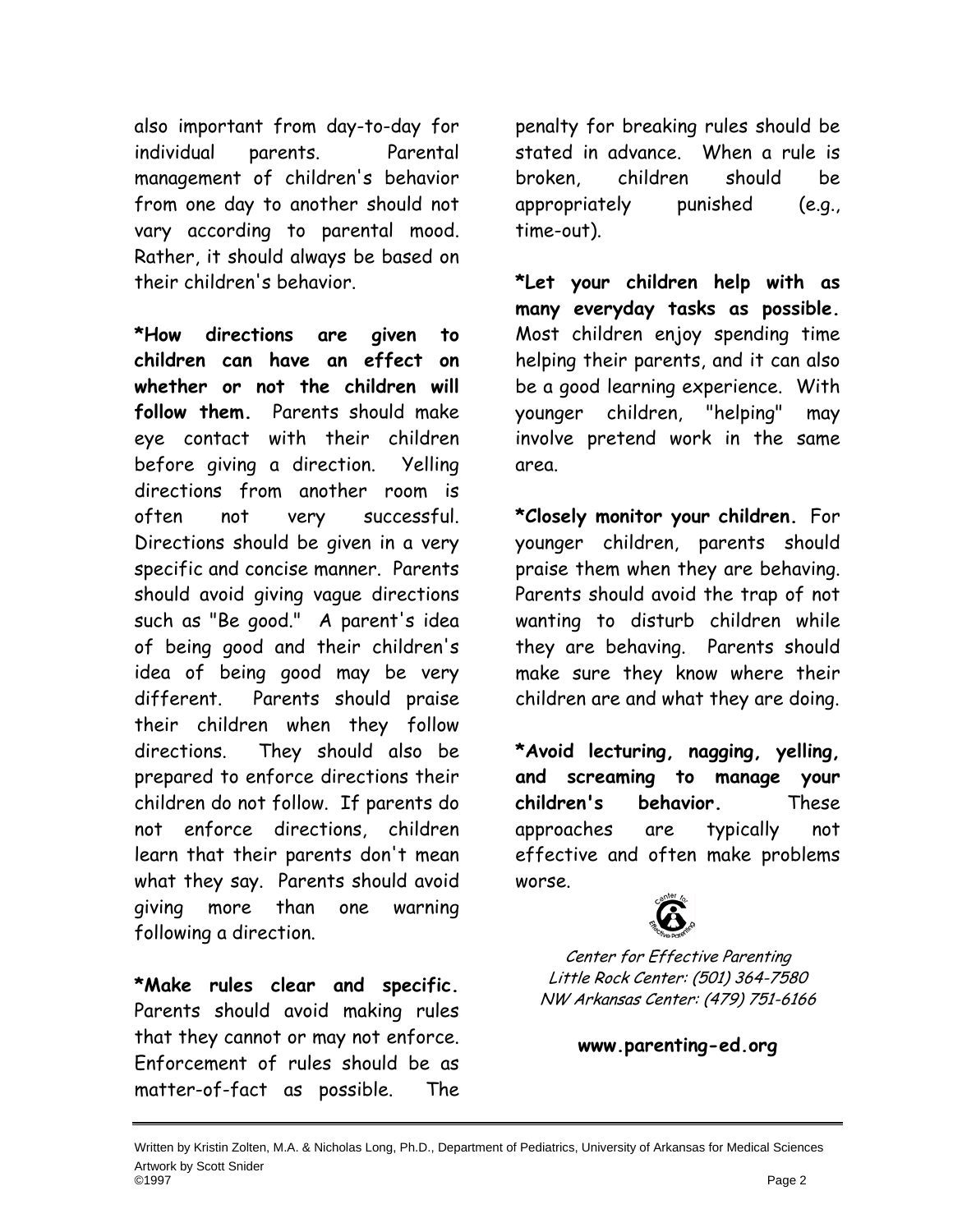also important from day-to-day for individual parents. Parental management of children's behavior from one day to another should not vary according to parental mood. Rather, it should always be based on their children's behavior.

**\*How directions are given to children can have an effect on whether or not the children will follow them.** Parents should make eye contact with their children before giving a direction. Yelling directions from another room is often not very successful. Directions should be given in a very specific and concise manner. Parents should avoid giving vague directions such as "Be good." A parent's idea of being good and their children's idea of being good may be very different. Parents should praise their children when they follow directions. They should also be prepared to enforce directions their children do not follow. If parents do not enforce directions, children learn that their parents don't mean what they say. Parents should avoid giving more than one warning following a direction.

**\*Make rules clear and specific.** Parents should avoid making rules that they cannot or may not enforce. Enforcement of rules should be as matter-of-fact as possible. The

penalty for breaking rules should be stated in advance. When a rule is broken, children should be appropriately punished (e.g., time-out).

**\*Let your children help with as many everyday tasks as possible.** Most children enjoy spending time helping their parents, and it can also be a good learning experience. With younger children, "helping" may involve pretend work in the same area.

**\*Closely monitor your children.** For younger children, parents should praise them when they are behaving. Parents should avoid the trap of not wanting to disturb children while they are behaving. Parents should make sure they know where their children are and what they are doing.

**\*Avoid lecturing, nagging, yelling, and screaming to manage your children's behavior.** These approaches are typically not effective and often make problems worse.



Center for Effective Parenting Little Rock Center: (501) 364-7580 NW Arkansas Center: (479) 751-6166

**www.parenting-ed.org**